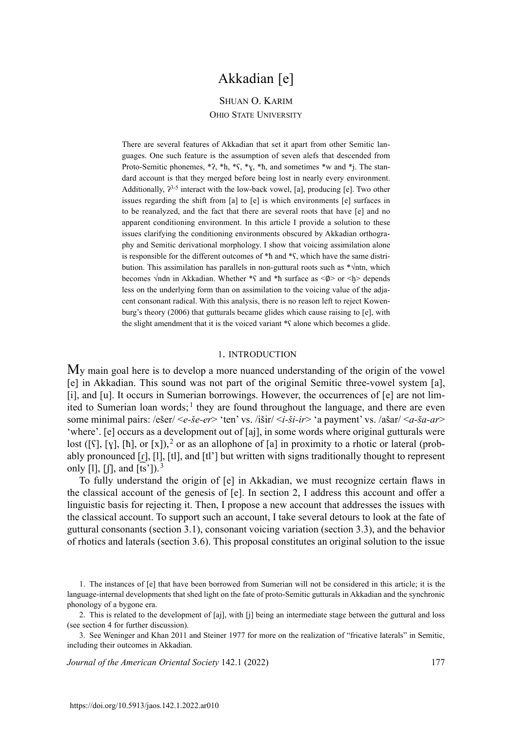# Akkadian [e]

## Shuan O. Karim Ohio State University

There are several features of Akkadian that set it apart from other Semitic languages. One such feature is the assumption of seven alefs that descended from Proto-Semitic phonemes,  $*$ ?,  $*$ h,  $*$ S,  $*$ <sub>N</sub>,  $*$ h, and sometimes  $*$ w and  $*$ j. The standard account is that they merged before being lost in nearly every environment. Additionally,  $2^{3-5}$  interact with the low-back vowel, [a], producing [e]. Two other issues regarding the shift from [a] to [e] is which environments [e] surfaces in to be reanalyzed, and the fact that there are several roots that have [e] and no apparent conditioning environment. In this article I provide a solution to these issues clarifying the conditioning environments obscured by Akkadian orthography and Semitic derivational morphology. I show that voicing assimilation alone is responsible for the different outcomes of \*ħ and \*ʕ, which have the same distribution. This assimilation has parallels in non-guttural roots such as \*√ntn, which becomes  $\sqrt{n}$ dn in Akkadian. Whether \*s and \*h surface as < $\emptyset$ > or <h> depends less on the underlying form than on assimilation to the voicing value of the adjacent consonant radical. With this analysis, there is no reason left to reject Kowenburg's theory (2006) that gutturals became glides which cause raising to [e], with the slight amendment that it is the voiced variant \*ʕ alone which becomes a glide.

#### 1. introduction

My main goal here is to develop a more nuanced understanding of the origin of the vowel [e] in Akkadian. This sound was not part of the original Semitic three-vowel system [a], [i], and [u]. It occurs in Sumerian borrowings. However, the occurrences of [e] are not limited to Sumerian loan words;<sup>1</sup> they are found throughout the language, and there are even some minimal pairs: /ešer/ <*e-še-er*> 'ten' vs. /išir/ <*i-ši-ir*> 'a payment' vs. /ašar/ <*a-ša-ar*> 'where'. [e] occurs as a development out of [aj], in some words where original gutturals were lost ([ $\iint$ ],  $[y]$ ,  $[\hbar]$ , or  $[x]$ ),  $^2$  or as an allophone of  $[a]$  in proximity to a rhotic or lateral (probably pronounced  $[r]$ ,  $[1]$ ,  $[t]$ , and  $[t']$  but written with signs traditionally thought to represent only [1],  $\left[\right]$ , and  $\left[\overline{ts}\right]$ <sup>3</sup>

To fully understand the origin of [e] in Akkadian, we must recognize certain flaws in the classical account of the genesis of [e]. In section 2, I address this account and offer a linguistic basis for rejecting it. Then, I propose a new account that addresses the issues with the classical account. To support such an account, I take several detours to look at the fate of guttural consonants (section 3.1), consonant voicing variation (section 3.3), and the behavior of rhotics and laterals (section 3.6). This proposal constitutes an original solution to the issue

*Journal of the American Oriental Society* 142.1 (2022) 177

<sup>1</sup>. The instances of [e] that have been borrowed from Sumerian will not be considered in this article; it is the language-internal developments that shed light on the fate of proto-Semitic gutturals in Akkadian and the synchronic phonology of a bygone era.

<sup>2</sup>. This is related to the development of [aj], with [j] being an intermediate stage between the guttural and loss (see section 4 for further discussion).

<sup>3</sup>. See Weninger and Khan 2011 and Steiner 1977 for more on the realization of "fricative laterals" in Semitic, including their outcomes in Akkadian.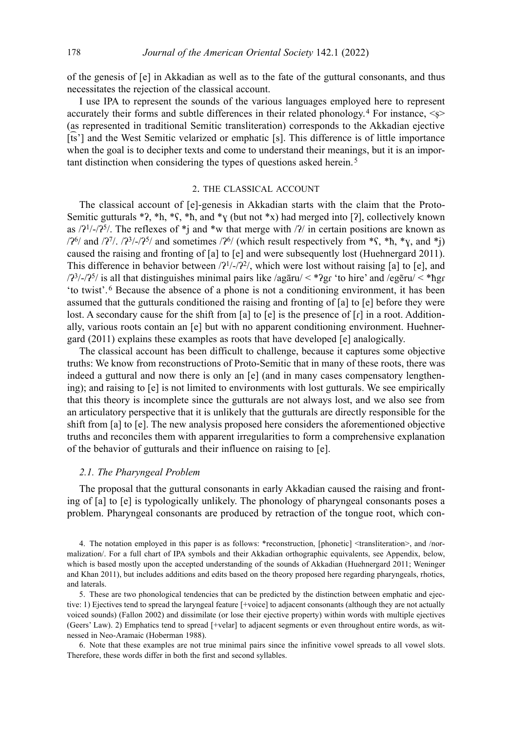of the genesis of [e] in Akkadian as well as to the fate of the guttural consonants, and thus necessitates the rejection of the classical account.

I use IPA to represent the sounds of the various languages employed here to represent accurately their forms and subtle differences in their related phonology.<sup>4</sup> For instance,  $\leq$ (as represented in traditional Semitic transliteration) corresponds to the Akkadian ejective [ts'] and the West Semitic velarized or emphatic [s]. This difference is of little importance when the goal is to decipher texts and come to understand their meanings, but it is an important distinction when considering the types of questions asked herein. <sup>5</sup>

#### 2. the classical account

The classical account of [e]-genesis in Akkadian starts with the claim that the Proto-Semitic gutturals \*?, \*h, \* $\zeta$ , \*h, and \* $\gamma$  (but not \*x) had merged into [?], collectively known as  $\frac{21}{\sqrt{25}}$ . The reflexes of \*j and \*w that merge with  $\frac{2}{\sqrt{2}}$  in certain positions are known as  $/2<sup>6</sup>/$  and  $/2<sup>7</sup>/.$   $/2<sup>3</sup>/-2<sup>5</sup>/$  and sometimes  $/2<sup>6</sup>/$  (which result respectively from \*S, \*h, \*<sub>N</sub>, and \*j) caused the raising and fronting of [a] to [e] and were subsequently lost (Huehnergard 2011). This difference in behavior between  $\frac{2^{1}}{2^{2}}$ , which were lost without raising [a] to [e], and /ʔ<sup>3</sup>/-/ʔ<sup>5</sup>/ is all that distinguishes minimal pairs like /agāru/ < \*ʔgɾ 'to hire' and /egēru/ < \*ħgɾ 'to twist'. 6 Because the absence of a phone is not a conditioning environment, it has been assumed that the gutturals conditioned the raising and fronting of [a] to [e] before they were lost. A secondary cause for the shift from [a] to [e] is the presence of  $\lceil \mathbf{r} \rceil$  in a root. Additionally, various roots contain an [e] but with no apparent conditioning environment. Huehnergard (2011) explains these examples as roots that have developed [e] analogically.

The classical account has been difficult to challenge, because it captures some objective truths: We know from reconstructions of Proto-Semitic that in many of these roots, there was indeed a guttural and now there is only an [e] (and in many cases compensatory lengthening); and raising to [e] is not limited to environments with lost gutturals. We see empirically that this theory is incomplete since the gutturals are not always lost, and we also see from an articulatory perspective that it is unlikely that the gutturals are directly responsible for the shift from [a] to [e]. The new analysis proposed here considers the aforementioned objective truths and reconciles them with apparent irregularities to form a comprehensive explanation of the behavior of gutturals and their influence on raising to [e].

## *2.1. The Pharyngeal Problem*

The proposal that the guttural consonants in early Akkadian caused the raising and fronting of [a] to [e] is typologically unlikely. The phonology of pharyngeal consonants poses a problem. Pharyngeal consonants are produced by retraction of the tongue root, which con-

4. The notation employed in this paper is as follows: \*reconstruction, [phonetic] <transliteration>, and /normalization/. For a full chart of IPA symbols and their Akkadian orthographic equivalents, see Appendix, below, which is based mostly upon the accepted understanding of the sounds of Akkadian (Huehnergard 2011; Weninger and Khan 2011), but includes additions and edits based on the theory proposed here regarding pharyngeals, rhotics, and laterals.

5. These are two phonological tendencies that can be predicted by the distinction between emphatic and ejective: 1) Ejectives tend to spread the laryngeal feature [+voice] to adjacent consonants (although they are not actually voiced sounds) (Fallon 2002) and dissimilate (or lose their ejective property) within words with multiple ejectives (Geers' Law). 2) Emphatics tend to spread [+velar] to adjacent segments or even throughout entire words, as witnessed in Neo-Aramaic (Hoberman 1988).

6. Note that these examples are not true minimal pairs since the infinitive vowel spreads to all vowel slots. Therefore, these words differ in both the first and second syllables.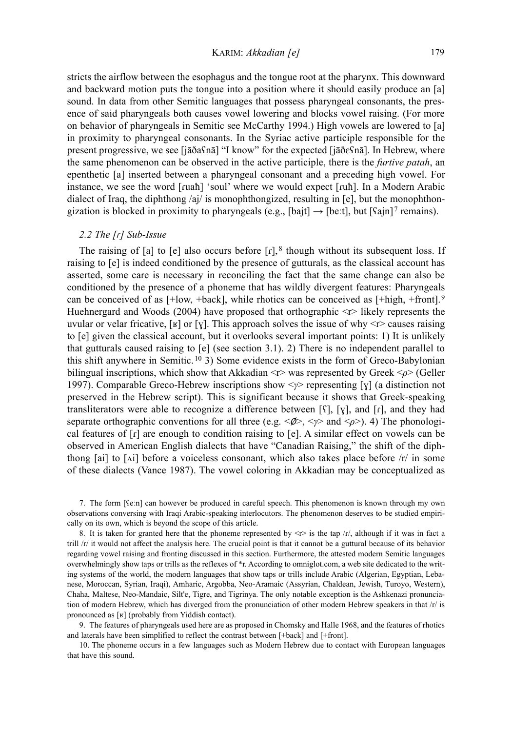KARIM: *Akkadian [e]* 179

stricts the airflow between the esophagus and the tongue root at the pharynx. This downward and backward motion puts the tongue into a position where it should easily produce an [a] sound. In data from other Semitic languages that possess pharyngeal consonants, the presence of said pharyngeals both causes vowel lowering and blocks vowel raising. (For more on behavior of pharyngeals in Semitic see McCarthy 1994.) High vowels are lowered to [a] in proximity to pharyngeal consonants. In the Syriac active participle responsible for the present progressive, we see [jāðaʕnā] "I know" for the expected [jāðɛʕnā]. In Hebrew, where the same phenomenon can be observed in the active participle, there is the *furtive patah*, an epenthetic [a] inserted between a pharyngeal consonant and a preceding high vowel. For instance, we see the word [ɾuaħ] 'soul' where we would expect [ɾuħ]. In a Modern Arabic dialect of Iraq, the diphthong /aj/ is monophthongized, resulting in [e], but the monophthongization is blocked in proximity to pharyngeals (e.g., [bajt]  $\rightarrow$  [beːt], but [Sajn]<sup>7</sup> remains).

#### *2.2 The [ɾ] Sub-Issue*

The raising of [a] to [e] also occurs before  $\lceil r \rceil$ , 8 though without its subsequent loss. If raising to [e] is indeed conditioned by the presence of gutturals, as the classical account has asserted, some care is necessary in reconciling the fact that the same change can also be conditioned by the presence of a phoneme that has wildly divergent features: Pharyngeals can be conceived of as  $[+low, +back]$ , while rhotics can be conceived as  $[+high, +front]$ .<sup>9</sup> Huehnergard and Woods (2004) have proposed that orthographic  $\leq r$  likely represents the uvular or velar fricative, [ʁ] or [ɣ]. This approach solves the issue of why  $\langle r \rangle$  causes raising to [e] given the classical account, but it overlooks several important points: 1) It is unlikely that gutturals caused raising to [e] (see section 3.1). 2) There is no independent parallel to this shift anywhere in Semitic. 10 3) Some evidence exists in the form of Greco-Babylonian bilingual inscriptions, which show that Akkadian <r> was represented by Greek <*ρ*> (Geller 1997). Comparable Greco-Hebrew inscriptions show <*γ*> representing [ɣ] (a distinction not preserved in the Hebrew script). This is significant because it shows that Greek-speaking transliterators were able to recognize a difference between  $[\S]$ ,  $[\S]$ , and  $[\rceil]$ , and they had separate orthographic conventions for all three (e.g.  $\langle \phi \rangle$ ,  $\langle \psi \rangle$  and  $\langle \phi \rangle$ ). 4) The phonological features of  $\lceil \mathbf{r} \rceil$  are enough to condition raising to  $\lceil \mathbf{e} \rceil$ . A similar effect on vowels can be observed in American English dialects that have "Canadian Raising," the shift of the diphthong [ai] to [ $\Lambda$ i] before a voiceless consonant, which also takes place before  $\Lambda$ <sup>t</sup> in some of these dialects (Vance 1987). The vowel coloring in Akkadian may be conceptualized as

7. The form [ʕeːn] can however be produced in careful speech. This phenomenon is known through my own observations conversing with Iraqi Arabic-speaking interlocutors. The phenomenon deserves to be studied empirically on its own, which is beyond the scope of this article.

8. It is taken for granted here that the phoneme represented by  $\langle r \rangle$  is the tap /r/, although if it was in fact a trill /r/ it would not affect the analysis here. The crucial point is that it cannot be a guttural because of its behavior regarding vowel raising and fronting discussed in this section. Furthermore, the attested modern Semitic languages overwhelmingly show taps or trills as the reflexes of \*r. According to omniglot.com, a web site dedicated to the writing systems of the world, the modern languages that show taps or trills include Arabic (Algerian, Egyptian, Lebanese, Moroccan, Syrian, Iraqi), Amharic, Argobba, Neo-Aramaic (Assyrian, Chaldean, Jewish, Turoyo, Western), Chaha, Maltese, Neo-Mandaic, Silt'e, Tigre, and Tigrinya. The only notable exception is the Ashkenazi pronunciation of modern Hebrew, which has diverged from the pronunciation of other modern Hebrew speakers in that /r/ is pronounced as [ʁ] (probably from Yiddish contact).

9. The features of pharyngeals used here are as proposed in Chomsky and Halle 1968, and the features of rhotics and laterals have been simplified to reflect the contrast between [+back] and [+front].

10. The phoneme occurs in a few languages such as Modern Hebrew due to contact with European languages that have this sound.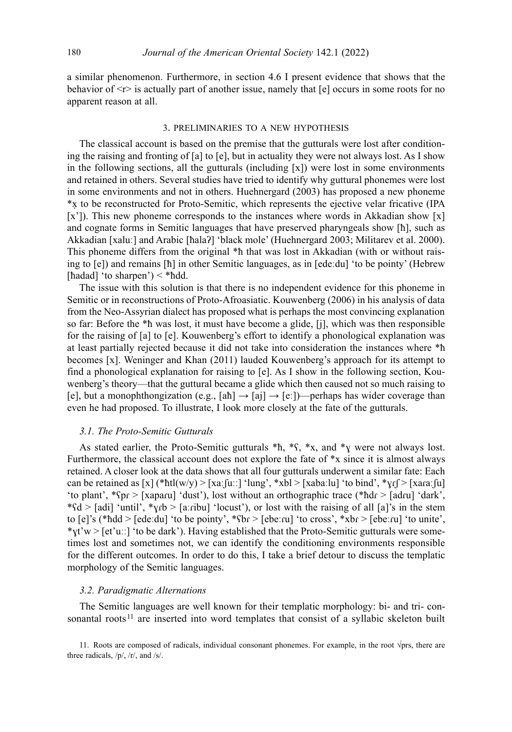a similar phenomenon. Furthermore, in section 4.6 I present evidence that shows that the behavior of  $\leq r$  is actually part of another issue, namely that  $[e]$  occurs in some roots for no apparent reason at all.

#### 3. preliminaries to a new hypothesis

The classical account is based on the premise that the gutturals were lost after conditioning the raising and fronting of [a] to [e], but in actuality they were not always lost. As I show in the following sections, all the gutturals (including  $[x]$ ) were lost in some environments and retained in others. Several studies have tried to identify why guttural phonemes were lost in some environments and not in others. Huehnergard (2003) has proposed a new phoneme \*x to be reconstructed for Proto-Semitic, which represents the ejective velar fricative (IPA ̣ [x']). This new phoneme corresponds to the instances where words in Akkadian show [x] and cognate forms in Semitic languages that have preserved pharyngeals show [ħ], such as Akkadian [xaluː] and Arabic [ħalaʔ] 'black mole' (Huehnergard 2003; Militarev et al. 2000). This phoneme differs from the original \*h that was lost in Akkadian (with or without raising to [e]) and remains [ħ] in other Semitic languages, as in [edeːdu] 'to be pointy' (Hebrew [hadad] 'to sharpen') < \*hdd.

The issue with this solution is that there is no independent evidence for this phoneme in Semitic or in reconstructions of Proto-Afroasiatic. Kouwenberg (2006) in his analysis of data from the Neo-Assyrian dialect has proposed what is perhaps the most convincing explanation so far: Before the \*ħ was lost, it must have become a glide, [j], which was then responsible for the raising of [a] to [e]. Kouwenberg's effort to identify a phonological explanation was at least partially rejected because it did not take into consideration the instances where \*ħ becomes [x]. Weninger and Khan (2011) lauded Kouwenberg's approach for its attempt to find a phonological explanation for raising to [e]. As I show in the following section, Kouwenberg's theory—that the guttural became a glide which then caused not so much raising to [e], but a monophthongization (e.g.,  $[\text{ah}] \rightarrow [\text{ai}] \rightarrow [\text{e}$ :)—perhaps has wider coverage than even he had proposed. To illustrate, I look more closely at the fate of the gutturals.

#### *3.1. The Proto-Semitic Gutturals*

As stated earlier, the Proto-Semitic gutturals  $*\hbar$ ,  $*\hbar$ ,  $*\hbar$ ,  $*\hbar$ , and  $*\hbar$  were not always lost. Furthermore, the classical account does not explore the fate of \*x since it is almost always retained. A closer look at the data shows that all four gutturals underwent a similar fate: Each can be retained as  $[x]$  (\*htl(w/y) >  $[xa:[u:]$  'lung', \*xbl >  $[xaba:lu]$  'to bind', \* $y.f$  >  $[xa\alpha:[u]$ 'to plant', \*ʕpɾ > [xapaɾu] 'dust'), lost without an orthographic trace (\*ħdɾ > [adɾu] 'dark',  $*\$ sd > [adi] 'until',  $*\$ yrb > [aːribu] 'locust'), or lost with the raising of all [a]'s in the stem to [e]'s (\*ħdd > [edeːdu] 'to be pointy', \*ʕbɾ > [ebeːɾu] 'to cross', \*xbɾ > [ebeːɾu] 'to unite',  $*$ <sub>X</sub>t'w > [et'uːː] 'to be dark'). Having established that the Proto-Semitic gutturals were sometimes lost and sometimes not, we can identify the conditioning environments responsible for the different outcomes. In order to do this, I take a brief detour to discuss the templatic morphology of the Semitic languages.

#### *3.2. Paradigmatic Alternations*

The Semitic languages are well known for their templatic morphology: bi- and tri- consonantal roots<sup>11</sup> are inserted into word templates that consist of a syllabic skeleton built

11. Roots are composed of radicals, individual consonant phonemes. For example, in the root  $\sqrt{p}$ rs, there are three radicals, /p/, /r/, and /s/.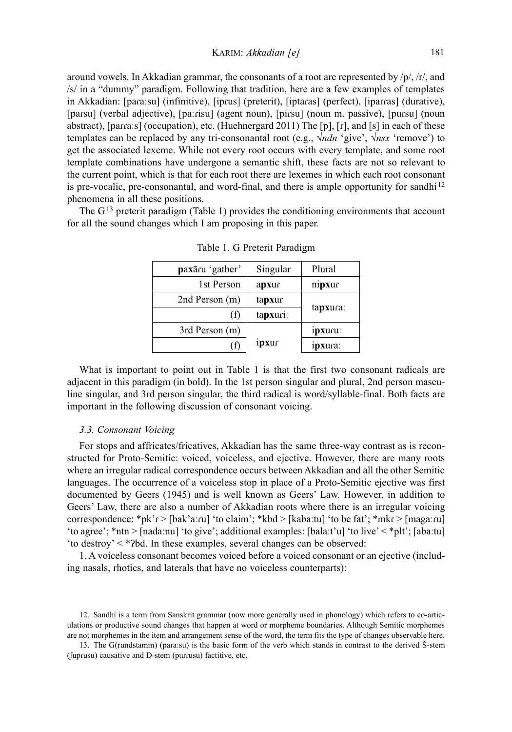around vowels. In Akkadian grammar, the consonants of a root are represented by  $/p/$ ,  $/r/$ , and /s/ in a "dummy" paradigm. Following that tradition, here are a few examples of templates in Akkadian: [paɾaːsu] (infinitive), [ipɾus] (preterit), [iptaɾas] (perfect), [ipaɾɾas] (durative), [paɾsu] (verbal adjective), [paːɾisu] (agent noun), [piɾsu] (noun m. passive), [puɾsu] (noun abstract), [paɾɾaːs] (occupation), etc. (Huehnergard 2011) The [p], [ɾ], and [s] in each of these templates can be replaced by any tri-consonantal root (e.g., √*ndn* 'give', √*nsx* 'remove') to get the associated lexeme. While not every root occurs with every template, and some root template combinations have undergone a semantic shift, these facts are not so relevant to the current point, which is that for each root there are lexemes in which each root consonant is pre-vocalic, pre-consonantal, and word-final, and there is ample opportunity for sandhi<sup>12</sup> phenomena in all these positions.

The  $G<sup>13</sup>$  preterit paradigm (Table 1) provides the conditioning environments that account for all the sound changes which I am proposing in this paper.

| paxāru 'gather' | Singular | Plural   |  |
|-----------------|----------|----------|--|
| 1st Person      | apxur    | nipxur   |  |
| 2nd Person (m)  | tapxur   |          |  |
| ΙI              | tapxuri: | tapxura: |  |
| 3rd Person (m)  |          | ipxuru:  |  |
| Т               | 1pxur    | ipxura:  |  |

Table 1. G Preterit Paradigm

What is important to point out in Table 1 is that the first two consonant radicals are adjacent in this paradigm (in bold). In the 1st person singular and plural, 2nd person masculine singular, and 3rd person singular, the third radical is word/syllable-final. Both facts are important in the following discussion of consonant voicing.

## *3.3. Consonant Voicing*

For stops and affricates/fricatives, Akkadian has the same three-way contrast as is reconstructed for Proto-Semitic: voiced, voiceless, and ejective. However, there are many roots where an irregular radical correspondence occurs between Akkadian and all the other Semitic languages. The occurrence of a voiceless stop in place of a Proto-Semitic ejective was first documented by Geers (1945) and is well known as Geers' Law. However, in addition to Geers' Law, there are also a number of Akkadian roots where there is an irregular voicing correspondence: \*pk'r > [bak'aːru] 'to claim'; \*kbd > [kabaːtu] 'to be fat'; \*mkr > [magaːru] 'to agree'; \*ntn > [nadaːnu] 'to give'; additional examples: [balaːt'u] 'to live' < \*plt'; [abaːtu] 'to destroy' < \*ʔbd. In these examples, several changes can be observed:

1. A voiceless consonant becomes voiced before a voiced consonant or an ejective (including nasals, rhotics, and laterals that have no voiceless counterparts):

13. The G(rundstamm) (paɾaːsu) is the basic form of the verb which stands in contrast to the derived Š-stem (fuprusu) causative and D-stem (purrusu) factitive, etc.

<sup>12</sup>. Sandhi is a term from Sanskrit grammar (now more generally used in phonology) which refers to co-articulations or productive sound changes that happen at word or morpheme boundaries. Although Semitic morphemes are not morphemes in the item and arrangement sense of the word, the term fits the type of changes observable here.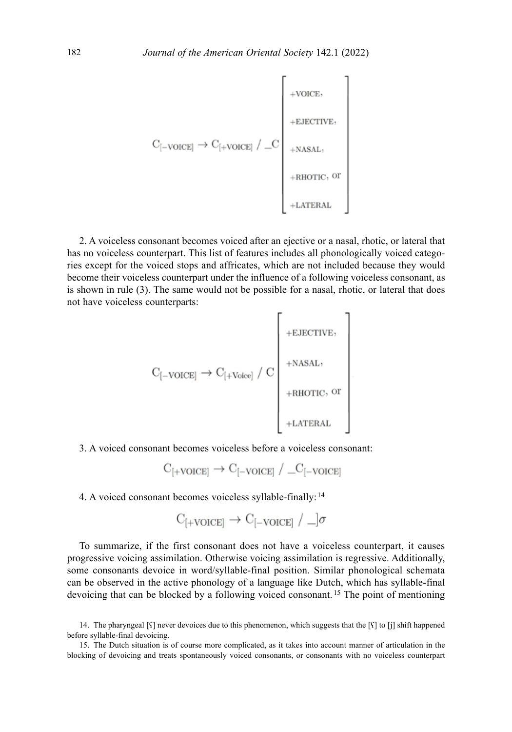$$
\mathbf{C}_{[-\text{VOICE}]}\rightarrow \mathbf{C}_{[+\text{VOICE}]}\ / \ \_\mathbf{C}_{\text{+NASAL},\ \_\text{+RHOTIC},\ \mathrm{or}\ \_\text{+LATERAL}}
$$

2. A voiceless consonant becomes voiced after an ejective or a nasal, rhotic, or lateral that has no voiceless counterpart. This list of features includes all phonologically voiced categories except for the voiced stops and affricates, which are not included because they would become their voiceless counterpart under the influence of a following voiceless consonant, as is shown in rule (3). The same would not be possible for a nasal, rhotic, or lateral that does not have voiceless counterparts:

$$
\rm C_{[-VOICE]} \rightarrow C_{[+Voice]} \ / \ C \left | \begin{array}{ccc} & & & \\ & + \rm NASAL, & & \\ & & + \rm NASAL, & \\ & & + \rm RHOTIC, \ \rm OT \ & & \\ & & + \rm LATERAL & \\ & & & - \end{array} \right |
$$

3. A voiced consonant becomes voiceless before a voiceless consonant:

$$
C_{[+\text{VOICE}]} \rightarrow C_{[-\text{VOICE}]} / \_C_{[-\text{VOICE}]}
$$

4. A voiced consonant becomes voiceless syllable-finally: <sup>14</sup>

$$
C_{[+VOICE]} \rightarrow C_{[-VOICE]} / \_]\sigma
$$

To summarize, if the first consonant does not have a voiceless counterpart, it causes progressive voicing assimilation. Otherwise voicing assimilation is regressive. Additionally, some consonants devoice in word/syllable-final position. Similar phonological schemata can be observed in the active phonology of a language like Dutch, which has syllable-final devoicing that can be blocked by a following voiced consonant. 15 The point of mentioning

<sup>14</sup>. The pharyngeal [ʕ] never devoices due to this phenomenon, which suggests that the [ʕ] to [j] shift happened before syllable-final devoicing.

<sup>15</sup>. The Dutch situation is of course more complicated, as it takes into account manner of articulation in the blocking of devoicing and treats spontaneously voiced consonants, or consonants with no voiceless counterpart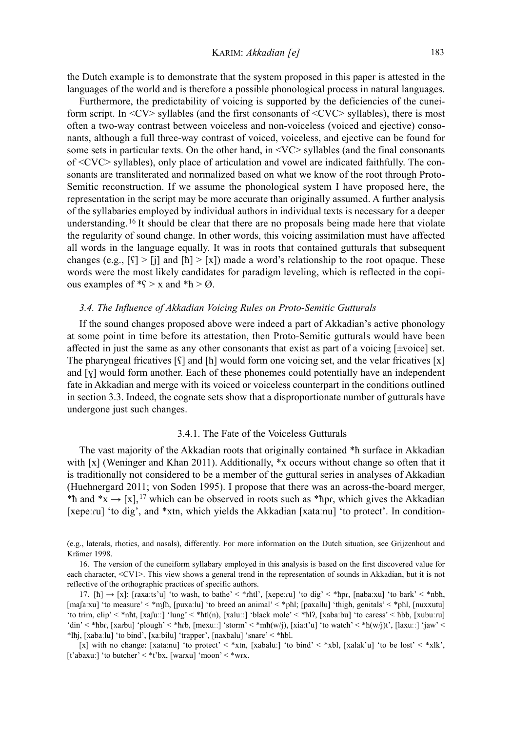the Dutch example is to demonstrate that the system proposed in this paper is attested in the languages of the world and is therefore a possible phonological process in natural languages.

Furthermore, the predictability of voicing is supported by the deficiencies of the cuneiform script. In  $\langle CV \rangle$  syllables (and the first consonants of  $\langle CVC \rangle$  syllables), there is most often a two-way contrast between voiceless and non-voiceless (voiced and ejective) consonants, although a full three-way contrast of voiced, voiceless, and ejective can be found for some sets in particular texts. On the other hand, in  $\langle \text{VC} \rangle$  syllables (and the final consonants of <CVC> syllables), only place of articulation and vowel are indicated faithfully. The consonants are transliterated and normalized based on what we know of the root through Proto-Semitic reconstruction. If we assume the phonological system I have proposed here, the representation in the script may be more accurate than originally assumed. A further analysis of the syllabaries employed by individual authors in individual texts is necessary for a deeper understanding. <sup>16</sup> It should be clear that there are no proposals being made here that violate the regularity of sound change. In other words, this voicing assimilation must have affected all words in the language equally. It was in roots that contained gutturals that subsequent changes (e.g.,  $[\hat{\zeta}] > [\hat{\jmath}]$  and  $[\hat{\hbar}] > [\tilde{\zeta}]$ ) made a word's relationship to the root opaque. These words were the most likely candidates for paradigm leveling, which is reflected in the copious examples of  $\mathscr{F}$  > x and  $\mathscr{F}$  >  $\varnothing$ .

#### *3.4. The Influence of Akkadian Voicing Rules on Proto-Semitic Gutturals*

If the sound changes proposed above were indeed a part of Akkadian's active phonology at some point in time before its attestation, then Proto-Semitic gutturals would have been affected in just the same as any other consonants that exist as part of a voicing [*±*voice] set. The pharyngeal fricatives  $\lceil \zeta \rceil$  and  $\lceil \hbar \rceil$  would form one voicing set, and the velar fricatives  $\lceil x \rceil$ and [ɣ] would form another. Each of these phonemes could potentially have an independent fate in Akkadian and merge with its voiced or voiceless counterpart in the conditions outlined in section 3.3. Indeed, the cognate sets show that a disproportionate number of gutturals have undergone just such changes.

#### 3.4.1. The Fate of the Voiceless Gutturals

The vast majority of the Akkadian roots that originally contained \*ħ surface in Akkadian with [x] (Weninger and Khan 2011). Additionally, \*x occurs without change so often that it is traditionally not considered to be a member of the guttural series in analyses of Akkadian (Huehnergard 2011; von Soden 1995). I propose that there was an across-the-board merger, \*h and \*x  $\rightarrow$  [x], <sup>17</sup> which can be observed in roots such as \*hpr, which gives the Akkadian [xepeːru] 'to dig', and \*xtn, which yields the Akkadian [xataːnu] 'to protect'. In condition-

(e.g., laterals, rhotics, and nasals), differently. For more information on the Dutch situation, see Grijzenhout and Krämer 1998.

16. The version of the cuneiform syllabary employed in this analysis is based on the first discovered value for each character, <CV1>. This view shows a general trend in the representation of sounds in Akkadian, but it is not reflective of the orthographic practices of specific authors.

17. [h]  $\rightarrow$  [x]: [raxaːts'u] 'to wash, to bathe' < \*rhtl', [xepeːru] 'to dig' < \*hpr, [nabaːxu] 'to bark' < \*nbh, [maʃaːxu] 'to measure' < \*mʃħ, [puxaːlu] 'to breed an animal' < \*pħl; [paxallu] 'thigh, genitals' < \*pħl, [nuxxutu] 'to trim, clip' < \*nht, [xafuːː] 'lung' < \*htl(n), [xaluːː] 'black mole' < \*hl?, [xabaːbu] 'to caress' < hbb, [xubuːru] 'din' < \*hbr, [xarbu] 'plough' < \*hrb, [mexuːː] 'storm' < \*mh(w/j), [xiaːt'u] 'to watch' < \*h(w/j)t', [laxuːː] 'jaw' < \*lħj, [xabaːlu] 'to bind', [xaːbilu] 'trapper', [naxbalu] 'snare' < \*ħbl.

[x] with no change: [xataːnu] 'to protect' < \*xtn, [xabaluː] 'to bind' < \*xbl, [xalak'u] 'to be lost' < \*xlk', [t'abaxuː] 'to butcher' < \*t'bx, [warxu] 'moon' < \*wrx.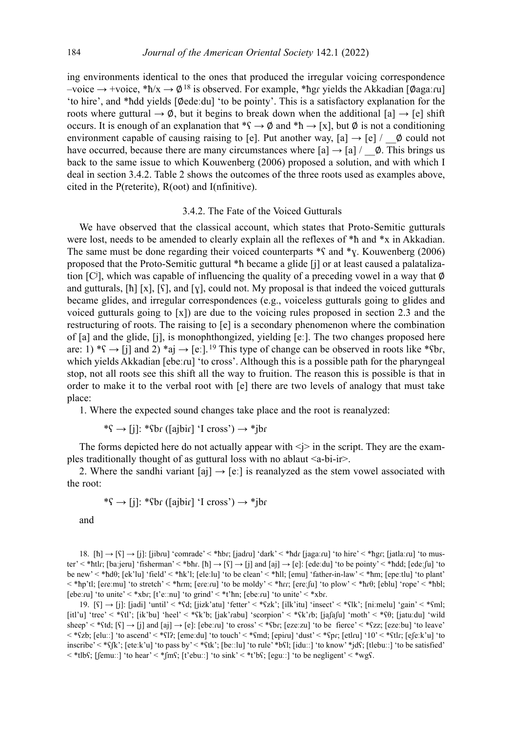ing environments identical to the ones that produced the irregular voicing correspondence  $-$ voice → +voice, \*ħ/x → Ø<sup>18</sup> is observed. For example, \*ħgr yields the Akkadian [Øagaːru] 'to hire', and \*ħdd yields [∅edeːdu] 'to be pointy'. This is a satisfactory explanation for the roots where guttural  $\rightarrow \emptyset$ , but it begins to break down when the additional [a]  $\rightarrow$  [e] shift occurs. It is enough of an explanation that  $^*\S \to \emptyset$  and  $^*\hbar \to [x]$ , but  $\emptyset$  is not a conditioning environment capable of causing raising to [e]. Put another way,  $[a] \rightarrow [e] / \phi$  could not have occurred, because there are many circumstances where  $[a] \rightarrow [a] / \phi$ . This brings us back to the same issue to which Kouwenberg (2006) proposed a solution, and with which I deal in section 3.4.2. Table 2 shows the outcomes of the three roots used as examples above, cited in the P(reterite), R(oot) and I(nfinitive).

#### 3.4.2. The Fate of the Voiced Gutturals

We have observed that the classical account, which states that Proto-Semitic gutturals were lost, needs to be amended to clearly explain all the reflexes of  $*$ h and  $*$ x in Akkadian. The same must be done regarding their voiced counterparts  $\ast$ S and  $\ast$ <sub>X</sub>. Kouwenberg (2006) proposed that the Proto-Semitic guttural \*ħ became a glide [j] or at least caused a palatalization [Cj ], which was capable of influencing the quality of a preceding vowel in a way that ∅ and gutturals,  $[\hbar][x], [\zeta]$ , and  $[y]$ , could not. My proposal is that indeed the voiced gutturals became glides, and irregular correspondences (e.g., voiceless gutturals going to glides and voiced gutturals going to [x]) are due to the voicing rules proposed in section 2.3 and the restructuring of roots. The raising to [e] is a secondary phenomenon where the combination of [a] and the glide, [j], is monophthongized, yielding [eː]. The two changes proposed here are: 1) \* $\varsigma \rightarrow$  [j] and 2) \*aj  $\rightarrow$  [e:].<sup>19</sup> This type of change can be observed in roots like \* $\varsigma$ br, which yields Akkadian [ebeːru] 'to cross'. Although this is a possible path for the pharyngeal stop, not all roots see this shift all the way to fruition. The reason this is possible is that in order to make it to the verbal root with [e] there are two levels of analogy that must take place:

1. Where the expected sound changes take place and the root is reanalyzed:

\* $S \rightarrow [j]$ : \* $S$ br ([ajbir] 'I cross')  $\rightarrow$  \*jbr

The forms depicted here do not actually appear with  $\langle \rangle$  in the script. They are the examples traditionally thought of as guttural loss with no ablaut  $\leq a$ -bi-ir $>$ .

2. Where the sandhi variant [aj]  $\rightarrow$  [e:] is reanalyzed as the stem vowel associated with the root:

 $*\S \rightarrow [i]$ : \* $\S$ br ([ajbir] 'I cross')  $\rightarrow$  \*jbr

and

18. [ħ]  $\rightarrow$  [s]  $\rightarrow$  [i]: [jibru] 'comrade' < \*hbr; [jadru] 'dark' < \*hdr [jagaːru] 'to hire' < \*hgr; [jatlaːru] 'to muster' < \*ħtlɾ; [baːjeru] 'fisherman' < \*bħɾ. [ħ] → [ʕ] → [j] and [aj] → [e]: [edeːdu] 'to be pointy' < \*ħdd; [edeːʃu] 'to be new' < \*ħdθ; [ek'lu] 'field' < \*ħk'l; [eleːlu] 'to be clean' < \*ħll; [emu] 'father-in-law' < \*ħm; [epeːtlu] 'to plant' < \*ħp'tl; [eɾeːmu] 'to stretch' < \*ħɾm; [eɾeːɾu] 'to be moldy' < \*ħɾɾ; [ereːʃu] 'to plow' < \*ħɾθ; [eblu] 'rope' < \*ħbl; [ebeːru] 'to unite' < \*xbr; [t'eːːnu] 'to grind' < \*t'hn; [ebeːru] 'to unite' < \*xbr.

19.  $[\S] \rightarrow [\S]$ : [jadi] 'until' < \* $\S$ d; [jizk'atu] 'fetter' < \* $\S$ zk'; [ilk'itu] 'insect' < \* $\S$ lk'; [niːmelu] 'gain' < \* $\S$ ml; [itl'u] 'tree' < \*ʕtl'; [ik'bu] 'heel' < \*ʕk'b; [jak'ɾabu] 'scorpion' < \*ʕk'ɾb; [jaʃaʃu] 'moth' < \*ʕθ; [jatuːdu] 'wild sheep' < \* $G$ td; [ $S$ ]  $\rightarrow$  [j] and [aj]  $\rightarrow$  [e]: [ebeːru] 'to cross' < \* $G$ br; [ezeːzu] 'to be fierce' < \* $G$ zz; [ezeːbu] 'to leave' < \*ʕzb; [eluːː] 'to ascend' < \*ʕlʔ; [emeːdu] 'to touch' < \*ʕmd; [epiɾu] 'dust' < \*ʕpɾ; [etlɾu] '10' < \*ʕtlɾ; [eʃeːk'u] 'to inscribe' < \*ʕʃk'; [eteːk'u] 'to pass by' < \*ʕtk'; [beːːlu] 'to rule' \*bʕl; [iduːː] 'to know' \*jdʕ; [tlebuːː] 'to be satisfied' < \*tlbʕ; [ʃemuːː] 'to hear' < \*ʃmʕ; [t'ebuːː] 'to sink' < \*t'bʕ; [eguːː] 'to be negligent' < \*wgʕ.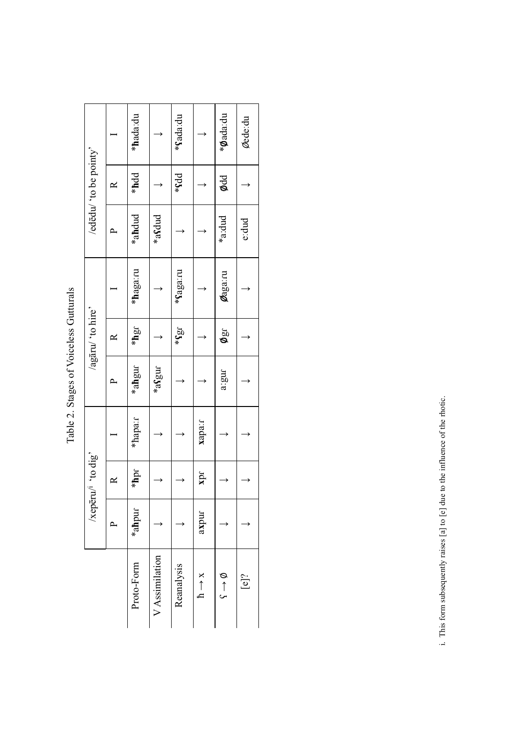| $\frac{1}{2}$<br>;<br>֪֚֚֚֚֚֚֚֚֚֚֚֚֚֚֚֚֚֚֚֡֓֡֓֕֓֡֓֓֡֓֓֡֟֓֡֟֓֡֟֓֡֟֓֡֟֓֡֟֓֡֟֓֡֟֓֡<br>l |
|--------------------------------------------------------------------------------------|
| tages<br>č                                                                           |
| Ć                                                                                    |

|                     |           | 's dip of 'unadax' |         |        | /agāru/ 'to hire'         |                   |        | /ededu/ to be pointy' |                   |
|---------------------|-----------|--------------------|---------|--------|---------------------------|-------------------|--------|-----------------------|-------------------|
|                     | $\Delta$  | $\approx$          |         |        | ≃                         |                   |        | ≃                     |                   |
| Proto-Form          | $*$ ahpur | $*$ hpr            | *hapa:r | *ahgur | $*$ hgr                   | *haga:ru          | *ahdud | *hdd                  | *hada:du          |
| V Assimilation      |           |                    |         | *asgur |                           |                   | *aSdud |                       |                   |
| Reanalysis          |           |                    |         |        | $J\overline{\mathcal{B}}$ | * <b>Saga</b> :ru |        | * <b>sdd</b>          | * <b>fada</b> :du |
| $h \rightarrow x$   | axpur     | zpr                | xapa:r  |        |                           |                   |        |                       |                   |
| $\phi \leftarrow 5$ |           |                    |         | a:gur  | ngo                       | <b>Magarru</b>    | *a:dud | ødd                   | *Øada:du          |
| $[$ e]?             |           |                    |         |        |                           |                   | e: dud |                       | Øede:du           |

i. This form subsequently raises [a] to [e] due to the influence of the rhotic. i. This form subsequently raises [a] to [e] due to the influence of the rhotic.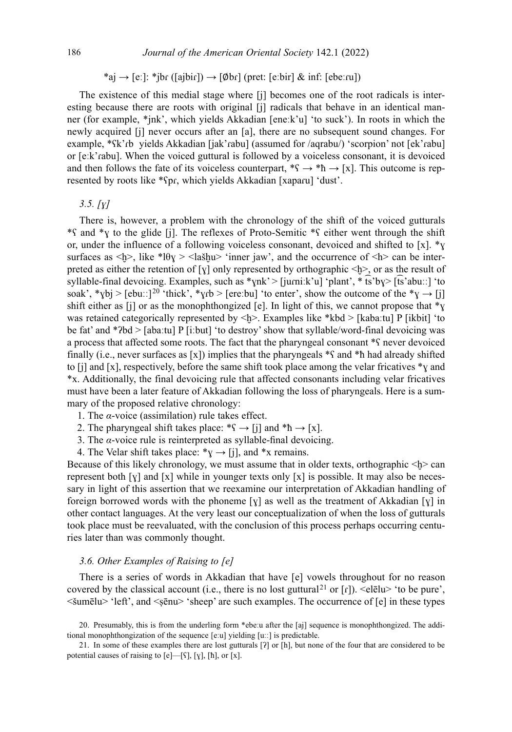\*aj  $\rightarrow$  [eː]: \*jbr ([ajbir])  $\rightarrow$  [Øbr] (pret: [eːbir] & inf: [ebeːru])

The existence of this medial stage where [j] becomes one of the root radicals is interesting because there are roots with original [j] radicals that behave in an identical manner (for example, \*jnk', which yields Akkadian [eneːk'u] 'to suck'). In roots in which the newly acquired [j] never occurs after an [a], there are no subsequent sound changes. For example, \*Sk'rb yields Akkadian [jak'rabu] (assumed for /aqrabu/) 'scorpion' not [ek'rabu] or [eːk'ɾabu]. When the voiced guttural is followed by a voiceless consonant, it is devoiced and then follows the fate of its voiceless counterpart,  $*\mathbf{S} \to *\mathbf{h} \to [\mathbf{x}]$ . This outcome is represented by roots like \*ʕpɾ, which yields Akkadian [xapaɾu] 'dust'.

#### *3.5. [ɣ]*

There is, however, a problem with the chronology of the shift of the voiced gutturals \*ʕ and \*ɣ to the glide [j]. The reflexes of Proto-Semitic \*ʕ either went through the shift or, under the influence of a following voiceless consonant, devoiced and shifted to [x].  $\mathbf{v}$ surfaces as  $\langle \psi \rangle$ , like \*l $\theta$ y >  $\langle \psi \rangle$  inner jaw', and the occurrence of  $\langle \psi \rangle$  can be interpreted as either the retention of [ɣ] only represented by orthographic <ḫ>, or as the result of syllable-final devoicing. Examples, such as  $\gamma$ nk' > [jurniːk'u] 'plant',  $\ast$  ts'by > [ts'abuːː] 'to soak', \*ybj > [ebuːː]<sup>20</sup> 'thick', \*ytb > [ereːbu] 'to enter', show the outcome of the \*y  $\rightarrow$  [j] shift either as [j] or as the monophthongized [e]. In light of this, we cannot propose that  $*_Y$ was retained categorically represented by  $\langle \psi \rangle$ . Examples like \*kbd > [kabaːtu] P [ikbit] 'to be fat' and  $*$ ?bd > [abaːtu] P [iːbut] 'to destroy' show that syllable/word-final devoicing was a process that affected some roots. The fact that the pharyngeal consonant \*ʕ never devoiced finally (i.e., never surfaces as [x]) implies that the pharyngeals  $*$ s and  $*$ h had already shifted to [j] and [x], respectively, before the same shift took place among the velar fricatives  $\ast$ y and \*x. Additionally, the final devoicing rule that affected consonants including velar fricatives must have been a later feature of Akkadian following the loss of pharyngeals. Here is a summary of the proposed relative chronology:

- 1. The *α*-voice (assimilation) rule takes effect.
- 2. The pharyngeal shift takes place:  $*\varsigma \rightarrow [j]$  and  $*\hbar \rightarrow [\chi]$ .
- 3. The *α*-voice rule is reinterpreted as syllable-final devoicing.
- 4. The Velar shift takes place:  $*_y \rightarrow [j]$ , and  $*_x$  remains.

Because of this likely chronology, we must assume that in older texts, orthographic  $\leq b$  can represent both  $[y]$  and  $[x]$  while in younger texts only  $[x]$  is possible. It may also be necessary in light of this assertion that we reexamine our interpretation of Akkadian handling of foreign borrowed words with the phoneme [ $\chi$ ] as well as the treatment of Akkadian [ $\chi$ ] in other contact languages. At the very least our conceptualization of when the loss of gutturals took place must be reevaluated, with the conclusion of this process perhaps occurring centuries later than was commonly thought.

#### *3.6. Other Examples of Raising to [e]*

There is a series of words in Akkadian that have [e] vowels throughout for no reason covered by the classical account (i.e., there is no lost guttural<sup>21</sup> or  $\lceil r \rceil$ ). <elealu> 'to be pure',  $\leq$  sumēlu $\geq$  'left', and  $\leq$  senu $\geq$  'sheep' are such examples. The occurrence of [e] in these types

<sup>20</sup>. Presumably, this is from the underling form \*ebeːu after the [aj] sequence is monophthongized. The additional monophthongization of the sequence [eːu] yielding [uːː] is predictable.

<sup>21</sup>. In some of these examples there are lost gutturals [ʔ] or [h], but none of the four that are considered to be potential causes of raising to [e]—[ʕ], [ɣ], [ħ], or [x].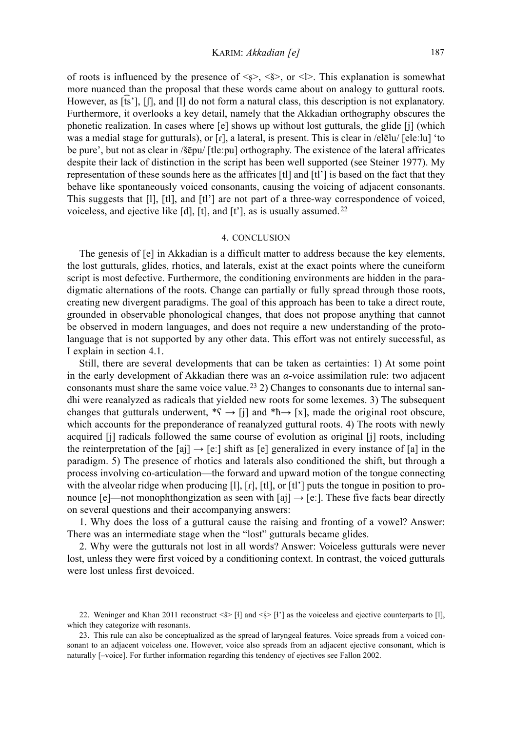of roots is influenced by the presence of  $\langle \xi \rangle$ ,  $\langle \xi \rangle$ , or  $\langle \xi \rangle$ . This explanation is somewhat more nuanced than the proposal that these words came about on analogy to guttural roots. However, as [ts'],  $[$ [], and  $[1]$  do not form a natural class, this description is not explanatory. Furthermore, it overlooks a key detail, namely that the Akkadian orthography obscures the phonetic realization. In cases where [e] shows up without lost gutturals, the glide [j] (which was a medial stage for gutturals), or  $\lceil \mathbf{r} \rceil$ , a lateral, is present. This is clear in /elēlu/  $\lceil \mathbf{ele} \rceil$ . The be pure', but not as clear in /šēpu/ [tleːpu] orthography. The existence of the lateral affricates despite their lack of distinction in the script has been well supported (see Steiner 1977). My representation of these sounds here as the affricates [tl] and [tl'] is based on the fact that they behave like spontaneously voiced consonants, causing the voicing of adjacent consonants. This suggests that [l], [tl], and [tl'] are not part of a three-way correspondence of voiced, voiceless, and ejective like  $[d]$ ,  $[t]$ , and  $[t']$ , as is usually assumed.<sup>22</sup>

#### 4. conclusion

The genesis of [e] in Akkadian is a difficult matter to address because the key elements, the lost gutturals, glides, rhotics, and laterals, exist at the exact points where the cuneiform script is most defective. Furthermore, the conditioning environments are hidden in the paradigmatic alternations of the roots. Change can partially or fully spread through those roots, creating new divergent paradigms. The goal of this approach has been to take a direct route, grounded in observable phonological changes, that does not propose anything that cannot be observed in modern languages, and does not require a new understanding of the protolanguage that is not supported by any other data. This effort was not entirely successful, as I explain in section 4.1.

Still, there are several developments that can be taken as certainties: 1) At some point in the early development of Akkadian there was an *α*-voice assimilation rule: two adjacent consonants must share the same voice value. 23 2) Changes to consonants due to internal sandhi were reanalyzed as radicals that yielded new roots for some lexemes. 3) The subsequent changes that gutturals underwent,  $^*\S \rightarrow [j]$  and  $^*\hbar \rightarrow [x]$ , made the original root obscure, which accounts for the preponderance of reanalyzed guttural roots. 4) The roots with newly acquired [j] radicals followed the same course of evolution as original [j] roots, including the reinterpretation of the [aj]  $\rightarrow$  [e:] shift as [e] generalized in every instance of [a] in the paradigm. 5) The presence of rhotics and laterals also conditioned the shift, but through a process involving co-articulation—the forward and upward motion of the tongue connecting with the alveolar ridge when producing  $[1]$ ,  $[r]$ ,  $[t]$ , or  $[t']$  puts the tongue in position to pronounce [e]—not monophthongization as seen with [aj]  $\rightarrow$  [e:]. These five facts bear directly on several questions and their accompanying answers:

1. Why does the loss of a guttural cause the raising and fronting of a vowel? Answer: There was an intermediate stage when the "lost" gutturals became glides.

2. Why were the gutturals not lost in all words? Answer: Voiceless gutturals were never lost, unless they were first voiced by a conditioning context. In contrast, the voiced gutturals were lost unless first devoiced.

<sup>22.</sup> Weninger and Khan 2011 reconstruct  $\ll$  [ł] and  $\ll$  [ł'] as the voiceless and ejective counterparts to [l], which they categorize with resonants.

<sup>23</sup>. This rule can also be conceptualized as the spread of laryngeal features. Voice spreads from a voiced consonant to an adjacent voiceless one. However, voice also spreads from an adjacent ejective consonant, which is naturally [–voice]. For further information regarding this tendency of ejectives see Fallon 2002.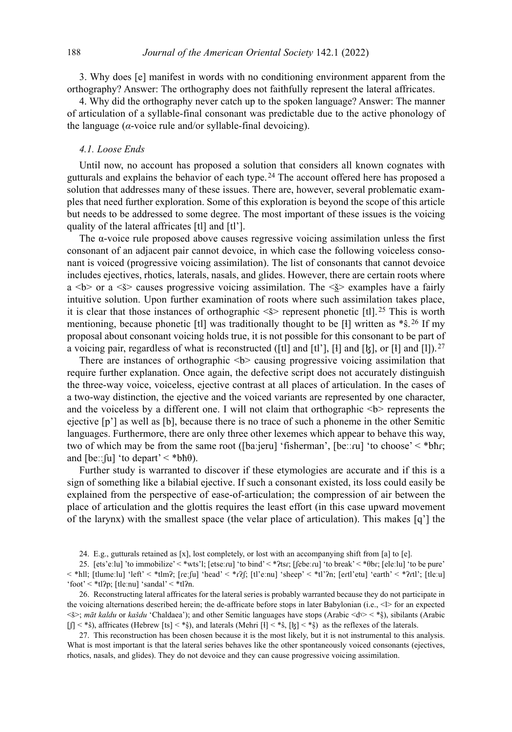3. Why does [e] manifest in words with no conditioning environment apparent from the orthography? Answer: The orthography does not faithfully represent the lateral affricates.

4. Why did the orthography never catch up to the spoken language? Answer: The manner of articulation of a syllable-final consonant was predictable due to the active phonology of the language  $(a$ -voice rule and/or syllable-final devoicing).

#### *4.1. Loose Ends*

Until now, no account has proposed a solution that considers all known cognates with gutturals and explains the behavior of each type. 24 The account offered here has proposed a solution that addresses many of these issues. There are, however, several problematic examples that need further exploration. Some of this exploration is beyond the scope of this article but needs to be addressed to some degree. The most important of these issues is the voicing quality of the lateral affricates [tl] and [tl'].

The  $\alpha$ -voice rule proposed above causes regressive voicing assimilation unless the first consonant of an adjacent pair cannot devoice, in which case the following voiceless consonant is voiced (progressive voicing assimilation). The list of consonants that cannot devoice includes ejectives, rhotics, laterals, nasals, and glides. However, there are certain roots where a  $\leq b$  or a  $\leq s$  causes progressive voicing assimilation. The  $\leq s$  examples have a fairly intuitive solution. Upon further examination of roots where such assimilation takes place, it is clear that those instances of orthographic  $\langle \xi \rangle$  represent phonetic [tl]. <sup>25</sup> This is worth mentioning, because phonetic [tl] was traditionally thought to be [ł] written as  $*$ ŝ. <sup>26</sup> If my proposal about consonant voicing holds true, it is not possible for this consonant to be part of a voicing pair, regardless of what is reconstructed ([tl] and [tl'], [t] and [k], or [t] and [l]). <sup>27</sup>

There are instances of orthographic  $\leq b$  causing progressive voicing assimilation that require further explanation. Once again, the defective script does not accurately distinguish the three-way voice, voiceless, ejective contrast at all places of articulation. In the cases of a two-way distinction, the ejective and the voiced variants are represented by one character, and the voiceless by a different one. I will not claim that orthographic  $\langle b \rangle$  represents the ejective [p'] as well as [b], because there is no trace of such a phoneme in the other Semitic languages. Furthermore, there are only three other lexemes which appear to behave this way, two of which may be from the same root ([baːjeru] 'fisherman', [beːːɾu] 'to choose' < \*bħɾ; and  $[be::[u]$  'to depart' < \*bh $\theta$ ).

Further study is warranted to discover if these etymologies are accurate and if this is a sign of something like a bilabial ejective. If such a consonant existed, its loss could easily be explained from the perspective of ease-of-articulation; the compression of air between the place of articulation and the glottis requires the least effort (in this case upward movement of the larynx) with the smallest space (the velar place of articulation). This makes [q'] the

24. E.g., gutturals retained as [x], lost completely, or lost with an accompanying shift from [a] to [e].

27. This reconstruction has been chosen because it is the most likely, but it is not instrumental to this analysis. What is most important is that the lateral series behaves like the other spontaneously voiced consonants (ejectives, rhotics, nasals, and glides). They do not devoice and they can cause progressive voicing assimilation.

<sup>25</sup>. [ets'eːlu] 'to immobilize' < \*wts'l; [etseːɾu] 'to bind' < \*ʔtsɾ; [ʃebeːɾu] 'to break' < \*θbɾ; [eleːlu] 'to be pure' < \*hll; [tlumeːlu] 'left' < \*tlmʔ; [ɾeːʃu] 'head' < \*ɾʔʃ; [tl'eːnu] 'sheep' < \*tl'ʔn; [eɾtl'etu] 'earth' < \*ʔɾtl'; [tleːu] 'foot' < \*tl?p; [tle:nu] 'sandal' < \*tl?n.

<sup>26</sup>. Reconstructing lateral affricates for the lateral series is probably warranted because they do not participate in the voicing alternations described herein; the de-affricate before stops in later Babylonian (i.e.,  $\langle \rangle$ ) for an expected  $\langle \sin \theta \rangle$ ; *māt kaldu* or *kašdu* 'Chaldaea'); and other Semitic languages have stops (Arabic  $\langle d \rangle$  < \* \$), sibilants (Arabic  $\lfloor \frac{f}{s} \rfloor <$ \*ŝ), affricates (Hebrew  $\lfloor ts \rfloor <$ \*ŝ), and laterals (Mehri  $\lfloor \frac{t}{s} \rfloor <$ \*ŝ,  $\lfloor \frac{t}{s} \rfloor <$ \*ŝ) as the reflexes of the laterals.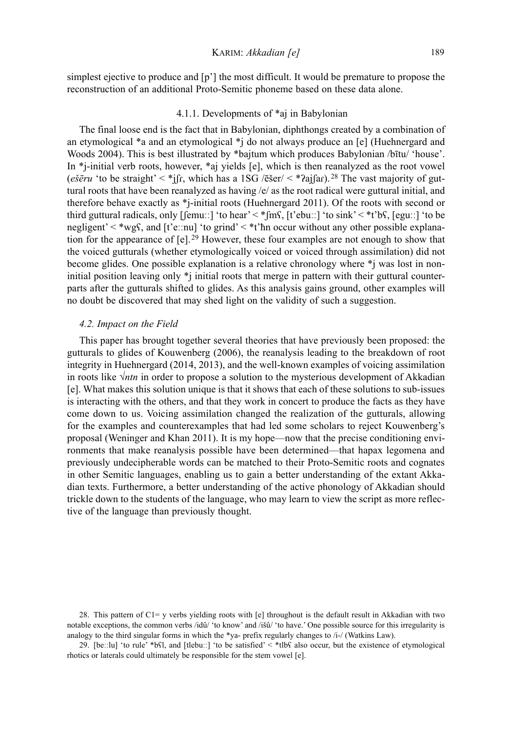simplest ejective to produce and [p'] the most difficult. It would be premature to propose the reconstruction of an additional Proto-Semitic phoneme based on these data alone.

#### 4.1.1. Developments of \*aj in Babylonian

The final loose end is the fact that in Babylonian, diphthongs created by a combination of an etymological \*a and an etymological \*j do not always produce an [e] (Huehnergard and Woods 2004). This is best illustrated by \*bajtum which produces Babylonian /bītu/ 'house'. In \*j-initial verb roots, however, \*aj yields [e], which is then reanalyzed as the root vowel (*ešēru* 'to be straight' < \*jʃɾ, which has a 1SG /ēšer/ < \*ʔajʃaɾ). 28 The vast majority of guttural roots that have been reanalyzed as having /e/ as the root radical were guttural initial, and therefore behave exactly as \*j-initial roots (Huehnergard 2011). Of the roots with second or third guttural radicals, only [ʃemuːː] 'to hear' < \*ʃmʕ, [t'ebuːː] 'to sink' < \*t'bʕ, [eguːː] 'to be negligent' < \*wgʕ, and [t'eːːnu] 'to grind' < \*t'ħn occur without any other possible explanation for the appearance of  $[e]$ . <sup>29</sup> However, these four examples are not enough to show that the voiced gutturals (whether etymologically voiced or voiced through assimilation) did not become glides. One possible explanation is a relative chronology where \*j was lost in noninitial position leaving only \*j initial roots that merge in pattern with their guttural counterparts after the gutturals shifted to glides. As this analysis gains ground, other examples will no doubt be discovered that may shed light on the validity of such a suggestion.

#### *4.2. Impact on the Field*

This paper has brought together several theories that have previously been proposed: the gutturals to glides of Kouwenberg (2006), the reanalysis leading to the breakdown of root integrity in Huehnergard (2014, 2013), and the well-known examples of voicing assimilation in roots like √*ntn* in order to propose a solution to the mysterious development of Akkadian [e]. What makes this solution unique is that it shows that each of these solutions to sub-issues is interacting with the others, and that they work in concert to produce the facts as they have come down to us. Voicing assimilation changed the realization of the gutturals, allowing for the examples and counterexamples that had led some scholars to reject Kouwenberg's proposal (Weninger and Khan 2011). It is my hope—now that the precise conditioning environments that make reanalysis possible have been determined—that hapax legomena and previously undecipherable words can be matched to their Proto-Semitic roots and cognates in other Semitic languages, enabling us to gain a better understanding of the extant Akkadian texts. Furthermore, a better understanding of the active phonology of Akkadian should trickle down to the students of the language, who may learn to view the script as more reflective of the language than previously thought.

<sup>28</sup>. This pattern of C1= y verbs yielding roots with [e] throughout is the default result in Akkadian with two notable exceptions, the common verbs /idû/ 'to know' and /išû/ 'to have.' One possible source for this irregularity is analogy to the third singular forms in which the \*ya- prefix regularly changes to /i-/ (Watkins Law).

<sup>29</sup>. [beːːlu] 'to rule' \*bʕl, and [tlebuːː] 'to be satisfied' < \*tlbʕ also occur, but the existence of etymological rhotics or laterals could ultimately be responsible for the stem vowel [e].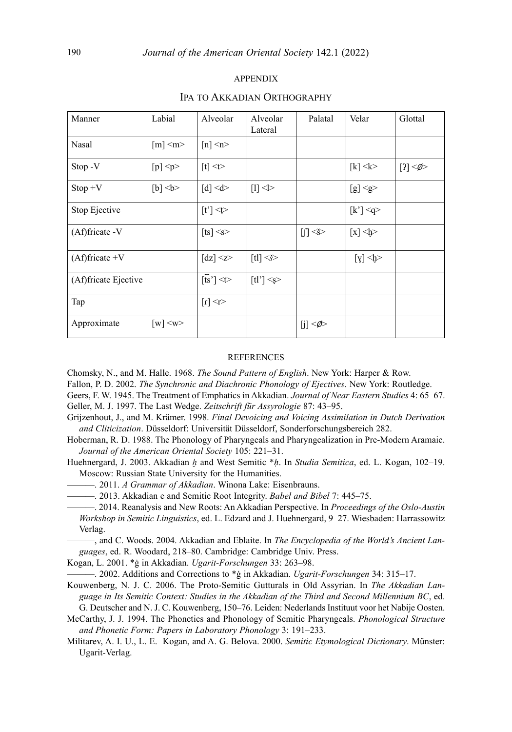### appendix

| Manner               | Labial                    | Alveolar                           | Alveolar<br>Lateral               | Palatal                         | Velar                                                                                                                                                                                                                                                  | Glottal          |
|----------------------|---------------------------|------------------------------------|-----------------------------------|---------------------------------|--------------------------------------------------------------------------------------------------------------------------------------------------------------------------------------------------------------------------------------------------------|------------------|
| Nasal                | $\lceil m \rceil$ <m></m> | $[n]$ <n></n>                      |                                   |                                 |                                                                                                                                                                                                                                                        |                  |
| Stop - V             | $[p]$ <p></p>             | $[t]$ <t></t>                      |                                   |                                 | $[k]$ < k >                                                                                                                                                                                                                                            | [2] <sub>0</sub> |
| $Stop + V$           | $[b]$<br>$\leq$           | $[d] \le d$                        | $[1]$ <l></l>                     |                                 | [g] <sub>g</sub>                                                                                                                                                                                                                                       |                  |
| Stop Ejective        |                           | $[t']$ <t></t>                     |                                   |                                 | [k'] < q                                                                                                                                                                                                                                               |                  |
| $(Af)$ fricate -V    |                           | $[ts]$ <s></s>                     |                                   | $\left[\int_{-\infty}^{\infty}$ | $\lceil x \rceil \leq b$                                                                                                                                                                                                                               |                  |
| $(Af)fricate +V$     |                           | $\lceil dz \rceil \ll 2$           | $\lceil \text{tl} \rceil \leq s$  |                                 | $[y]$<br>$\leq$ + $\leq$ + $\leq$ + $\leq$ + $\leq$ + $\leq$ + $\leq$ + $\leq$ + $\leq$ + $\leq$ + $\leq$ + $\leq$ + $\leq$ + $\leq$ + $\leq$ + $\leq$ + $\leq$ + $\leq$ + $\leq$ + $\leq$ + $\leq$ + $\leq$ + $\leq$ + $\leq$ + $\leq$ + $\leq$ + $\$ |                  |
| (Af)fricate Ejective |                           | $\widehat{[ts]} < \Leftrightarrow$ | $\lceil \text{tl'} \rceil \leq s$ |                                 |                                                                                                                                                                                                                                                        |                  |
| Tap                  |                           | $\leq r$ $\leq$ $\leq$             |                                   |                                 |                                                                                                                                                                                                                                                        |                  |
| Approximate          | $[w] \leq w$              |                                    |                                   | $[j]$ < $\phi$                  |                                                                                                                                                                                                                                                        |                  |

#### Ipa to Akkadian Orthography

#### **REFERENCES**

Chomsky, N., and M. Halle. 1968. *The Sound Pattern of English*. New York: Harper & Row.

Fallon, P. D. 2002. *The Synchronic and Diachronic Phonology of Ejectives*. New York: Routledge.

Geers, F. W. 1945. The Treatment of Emphatics in Akkadian. *Journal of Near Eastern Studies* 4: 65–67. Geller, M. J. 1997. The Last Wedge. *Zeitschrift für Assyrologie* 87: 43–95.

- Grijzenhout, J., and M. Krämer. 1998. *Final Devoicing and Voicing Assimilation in Dutch Derivation and Cliticization*. Düsseldorf: Universität Düsseldorf, Sonderforschungsbereich 282.
- Hoberman, R. D. 1988. The Phonology of Pharyngeals and Pharyngealization in Pre-Modern Aramaic. *Journal of the American Oriental Society* 105: 221–31.
- Huehnergard, J. 2003. Akkadian *ḫ* and West Semitic \**ḥ*. In *Studia Semitica*, ed. L. Kogan, 102–19. Moscow: Russian State University for the Humanities.
- ———. 2011. *A Grammar of Akkadian*. Winona Lake: Eisenbrauns.
	- ———. 2013. Akkadian e and Semitic Root Integrity. *Babel and Bibel* 7: 445–75.
- ———. 2014. Reanalysis and New Roots: An Akkadian Perspective. In *Proceedings of the Oslo-Austin Workshop in Semitic Linguistics*, ed. L. Edzard and J. Huehnergard, 9–27. Wiesbaden: Harrassowitz Verlag.

———, and C. Woods. 2004. Akkadian and Eblaite. In *The Encyclopedia of the World's Ancient Languages*, ed. R. Woodard, 218–80. Cambridge: Cambridge Univ. Press.

Kogan, L. 2001. \*ġ in Akkadian. *Ugarit-Forschungen* 33: 263–98.

———. 2002. Additions and Corrections to \*ġ in Akkadian. *Ugarit-Forschungen* 34: 315–17.

- Kouwenberg, N. J. C. 2006. The Proto-Semitic Gutturals in Old Assyrian. In *The Akkadian Language in Its Semitic Context: Studies in the Akkadian of the Third and Second Millennium BC*, ed. G. Deutscher and N. J. C. Kouwenberg, 150–76. Leiden: Nederlands Instituut voor het Nabije Oosten.
- McCarthy, J. J. 1994. The Phonetics and Phonology of Semitic Pharyngeals. *Phonological Structure and Phonetic Form: Papers in Laboratory Phonology* 3: 191–233.
- Militarev, A. I. U., L. E. Kogan, and A. G. Belova. 2000. *Semitic Etymological Dictionary*. Münster: Ugarit-Verlag.